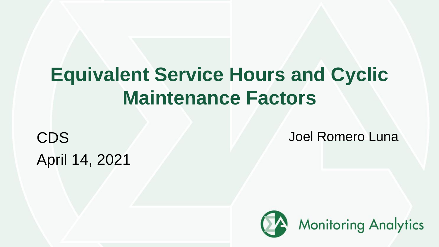# **Equivalent Service Hours and Cyclic Maintenance Factors**

April 14, 2021

**CDS Joel Romero Luna** 

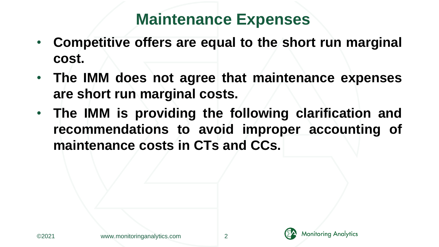#### **Maintenance Expenses**

- **Competitive offers are equal to the short run marginal cost.**
- **The IMM does not agree that maintenance expenses are short run marginal costs.**
- **The IMM is providing the following clarification and recommendations to avoid improper accounting of maintenance costs in CTs and CCs.**

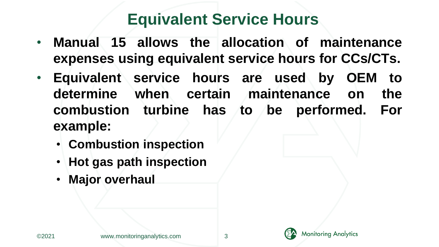#### **Equivalent Service Hours**

- **Manual 15 allows the allocation of maintenance expenses using equivalent service hours for CCs/CTs.**
- **Equivalent service hours are used by OEM to determine when certain maintenance on the combustion turbine has to be performed. For example:**
	- **Combustion inspection**
	- **Hot gas path inspection**
	- **Major overhaul**



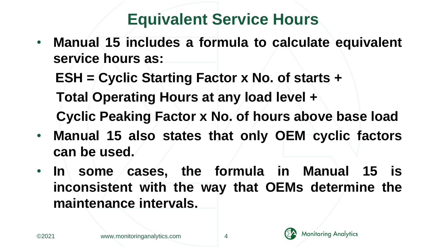# **Equivalent Service Hours**

• **Manual 15 includes a formula to calculate equivalent service hours as:**

**ESH = Cyclic Starting Factor x No. of starts +**

**Total Operating Hours at any load level + Cyclic Peaking Factor x No. of hours above base load**

- **Manual 15 also states that only OEM cyclic factors can be used.**
- **In some cases, the formula in Manual 15 is inconsistent with the way that OEMs determine the maintenance intervals.**

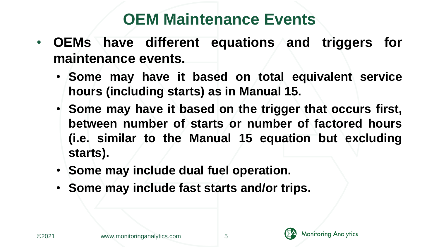#### **OEM Maintenance Events**

- **OEMs have different equations and triggers for maintenance events.**
	- **Some may have it based on total equivalent service hours (including starts) as in Manual 15.**
	- **Some may have it based on the trigger that occurs first, between number of starts or number of factored hours (i.e. similar to the Manual 15 equation but excluding starts).**
	- **Some may include dual fuel operation.**
	- **Some may include fast starts and/or trips.**



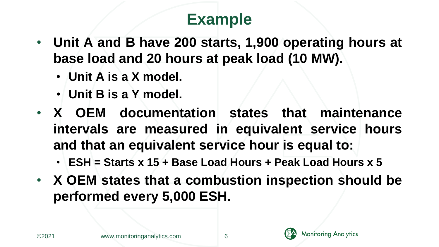- **Unit A and B have 200 starts, 1,900 operating hours at base load and 20 hours at peak load (10 MW).**
	- **Unit A is a X model.**
	- **Unit B is a Y model.**
- **X OEM documentation states that maintenance intervals are measured in equivalent service hours and that an equivalent service hour is equal to:**
	- **ESH = Starts x 15 + Base Load Hours + Peak Load Hours x 5**
- **X OEM states that a combustion inspection should be performed every 5,000 ESH.**

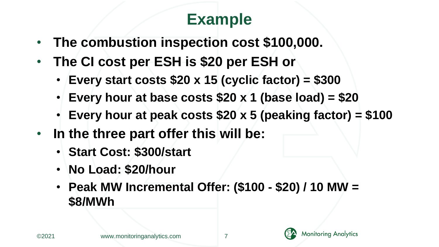- **The combustion inspection cost \$100,000.**
- **The CI cost per ESH is \$20 per ESH or**
	- **Every start costs \$20 x 15 (cyclic factor) = \$300**
	- **Every hour at base costs \$20 x 1 (base load) = \$20**
	- **Every hour at peak costs \$20 x 5 (peaking factor) = \$100**
- **In the three part offer this will be:**
	- **Start Cost: \$300/start**
	- **No Load: \$20/hour**
	- **Peak MW Incremental Offer: (\$100 - \$20) / 10 MW = \$8/MWh**



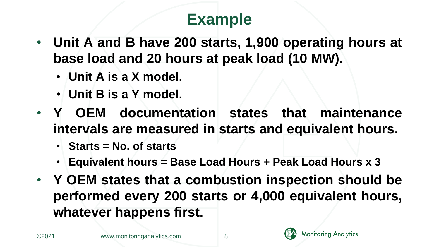- **Unit A and B have 200 starts, 1,900 operating hours at base load and 20 hours at peak load (10 MW).**
	- **Unit A is a X model.**
	- **Unit B is a Y model.**
- **Y OEM documentation states that maintenance intervals are measured in starts and equivalent hours.**
	- **Starts = No. of starts**
	- **Equivalent hours = Base Load Hours + Peak Load Hours x 3**
- **Y OEM states that a combustion inspection should be performed every 200 starts or 4,000 equivalent hours, whatever happens first.**

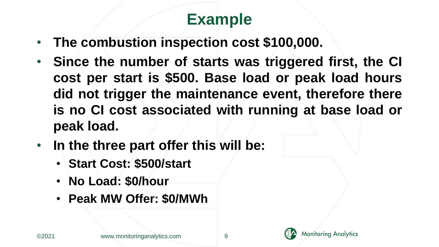- **The combustion inspection cost \$100,000.**
- **Since the number of starts was triggered first, the CI cost per start is \$500. Base load or peak load hours did not trigger the maintenance event, therefore there is no CI cost associated with running at base load or peak load.**
- **In the three part offer this will be:**
	- **Start Cost: \$500/start**
	- **No Load: \$0/hour**
	- **Peak MW Offer: \$0/MWh**

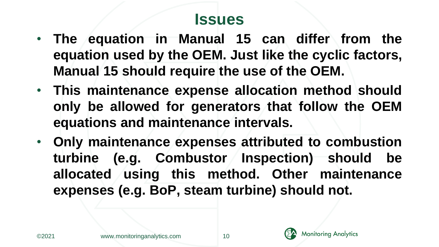#### **Issues**

- **The equation in Manual 15 can differ from the equation used by the OEM. Just like the cyclic factors, Manual 15 should require the use of the OEM.**
- **This maintenance expense allocation method should only be allowed for generators that follow the OEM equations and maintenance intervals.**
- **Only maintenance expenses attributed to combustion turbine (e.g. Combustor Inspection) should be allocated using this method. Other maintenance expenses (e.g. BoP, steam turbine) should not.**